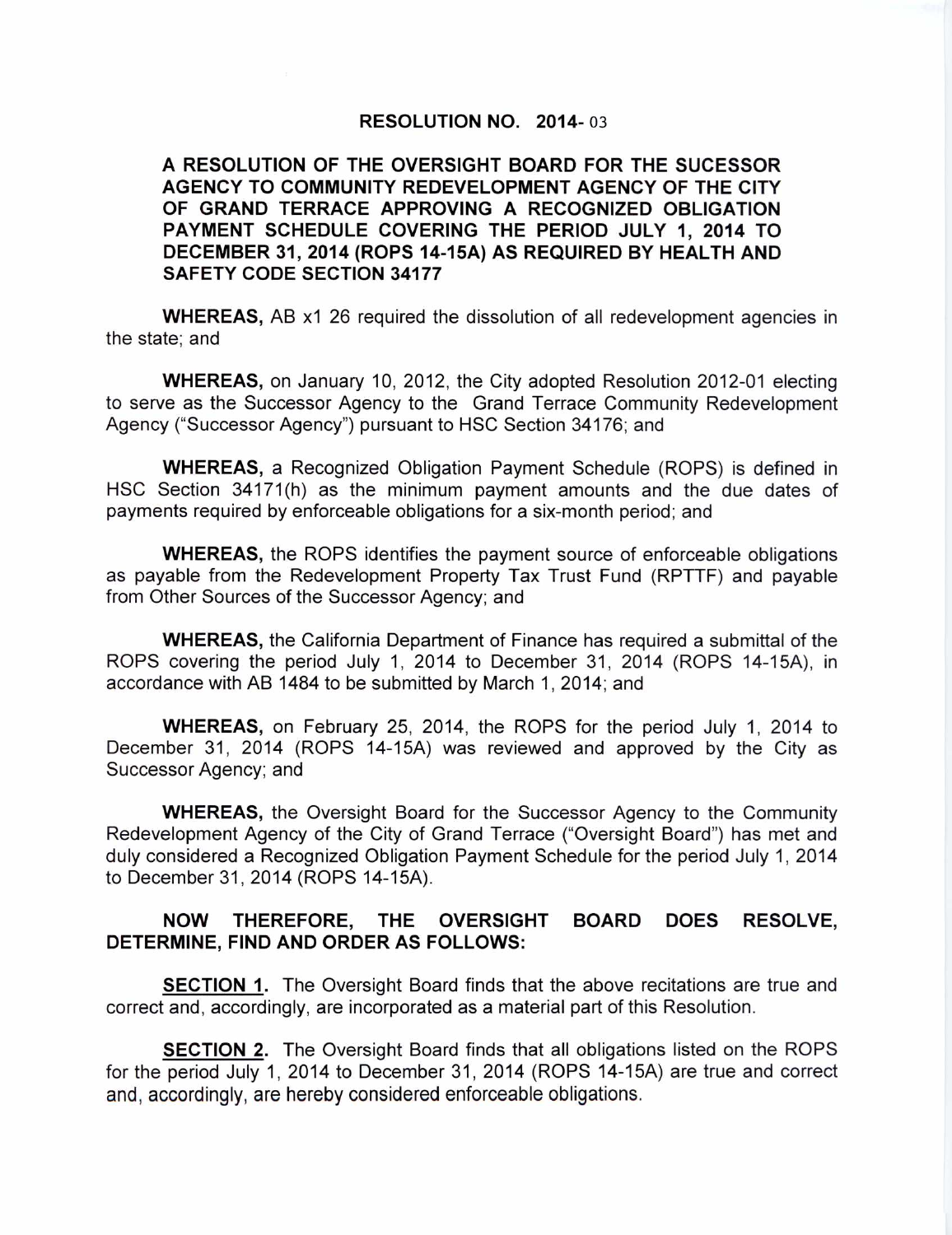## **RESOLUTION NO. 2014-03**

## **A RESOLUTION OF THE OVERSIGHT BOARD FOR THE SUCESSOR AGENCY TO COMMUNITY REDEVELOPMENT AGENCY OF THE CITY OF GRAND TERRACE APPROVING A RECOGNIZED OBLIGATION PAYMENT SCHEDULE COVERING THE PERIOD JULY 1, 2014 TO DECEMBER 31, 2014 (ROPS 14-15A) AS REQUIRED BY HEALTH AND SAFETY CODE SECTION 34177**

**WHEREAS,** AB x1 26 required the dissolution of all redevelopment agencies in the state; and

**WHEREAS,** on January 10, 2012, the City adopted Resolution 2012-01 electing to serve as the Successor Agency to the Grand Terrace Community Redevelopment Agency ("Successor Agency") pursuant to HSC Section 34176; and

**WHEREAS,** a Recognized Obligation Payment Schedule (ROPS) is defined in HSC Section 34171(h) as the minimum payment amounts and the due dates of payments required by enforceable obligations for a six-month period; and

**WHEREAS,** the ROPS identifies the payment source of enforceable obligations as payable from the Redevelopment Property Tax Trust Fund (RPTTF) and payable from Other Sources of the Successor Agency; and

**WHEREAS,** the California Department of Finance has required a submittal of the ROPS covering the period July 1, 2014 to December 31, 2014 (ROPS 14-15A), in accordance with AB 1484 to be submitted by March 1, 2014; and

**WHEREAS,** on February 25, 2014, the ROPS for the period July 1, 2014 to December 31, 2014 (ROPS 14-15A) was reviewed and approved by the City as Successor Agency; and

**WHEREAS,** the Oversight Board for the Successor Agency to the Community Redevelopment Agency of the City of Grand Terrace ("Oversight Board") has met and duly considered a Recognized Obligation Payment Schedule for the period July 1, 2014 to December 31, 2014 (ROPS 14-15A).

## **NOW THEREFORE, THE OVERSIGHT BOARD DOES RESOLVE, DETERMINE, FIND AND ORDER AS FOLLOWS:**

**SECTION 1.** The Oversight Board finds that the above recitations are true and correct and, accordingly, are incorporated as a material part of this Resolution.

**SECTION 2.** The Oversight Board finds that all obligations listed on the ROPS for the period July 1, 2014 to December 31, 2014 (ROPS 14-15A) are true and correct and, accordingly, are hereby considered enforceable obligations.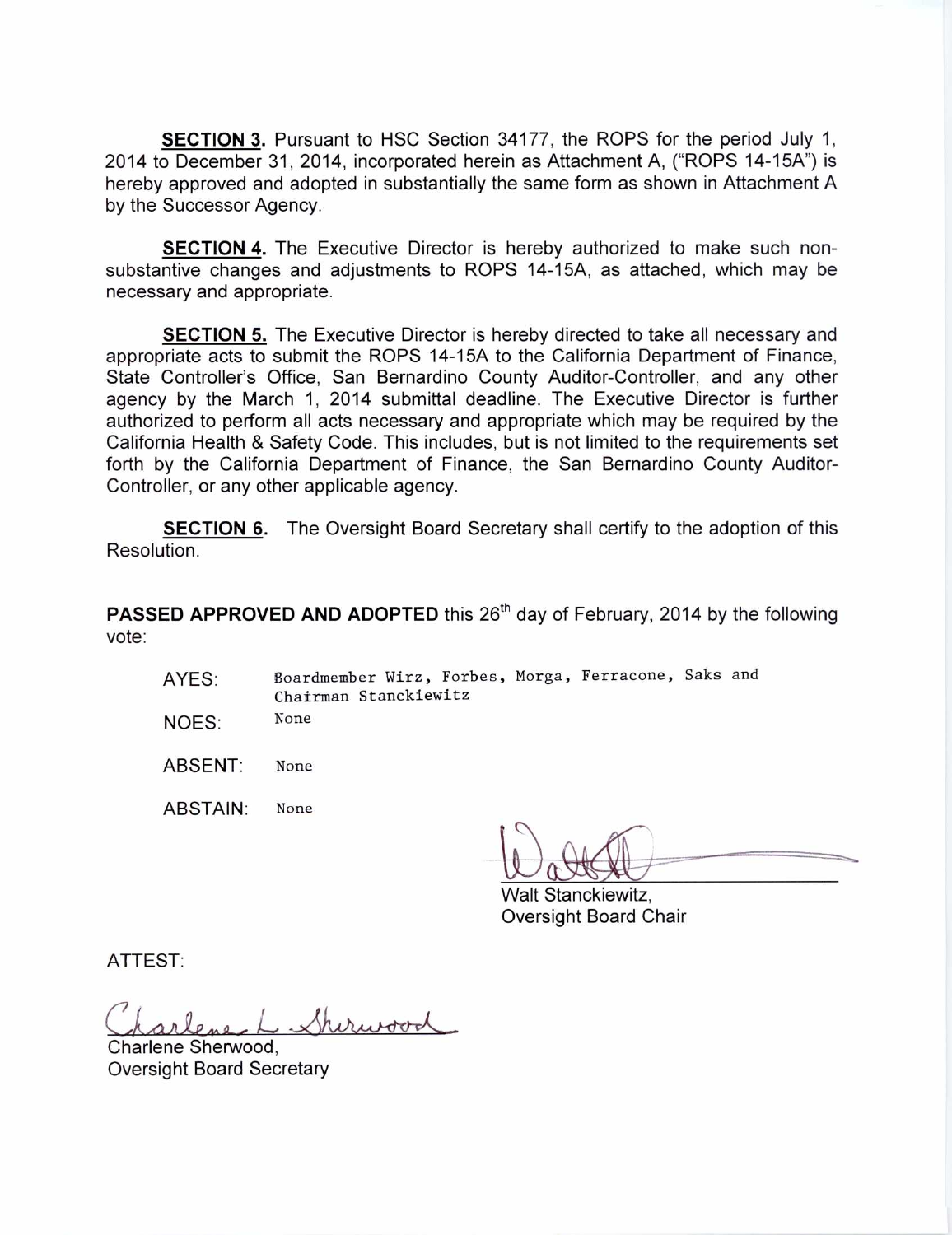**SECTION 3.** Pursuant to HSC Section 34177, the ROPS for the period July 1, 2014 to December 31, 2014, incorporated herein as Attachment A, ("ROPS 14-15A") is hereby approved and adopted in substantially the same form as shown in Attachment A by the Successor Agency.

**SECTION 4.** The Executive Director is hereby authorized to make such nonsubstantive changes and adjustments to ROPS 14-15A, as attached, which may be necessary and appropriate.

**SECTION 5.** The Executive Director is hereby directed to take all necessary and appropriate acts to submit the ROPS 14-15A to the California Department of Finance, State Controller's Office, San Bernardino County Auditor-Controller, and any other agency by the March 1, 2014 submittal deadline. The Executive Director is further authorized to perform all acts necessary and appropriate which may be required by the California Health & Safety Code. This includes, but is not limited to the requirements set forth by the California Department of Finance, the San Bernardino County Auditor-Controller, or any other applicable agency.

**SECTION 6.** The Oversight Board Secretary shall certify to the adoption of this Resolution.

**PASSED APPROVED AND ADOPTED** this 26<sup>th</sup> day of February, 2014 by the following vote:

- AYES: Boardmember Wirz, Forbes, Morga, Ferracone, Saks and Chairman Stanckiewitz
- NOES: None
- ABSENT: None

ABSTAIN: None

Walt Stanckiewitz, Oversight Board Chair

ATTEST:

Sherupood

Charlene Sherwood, Oversight Board Secretary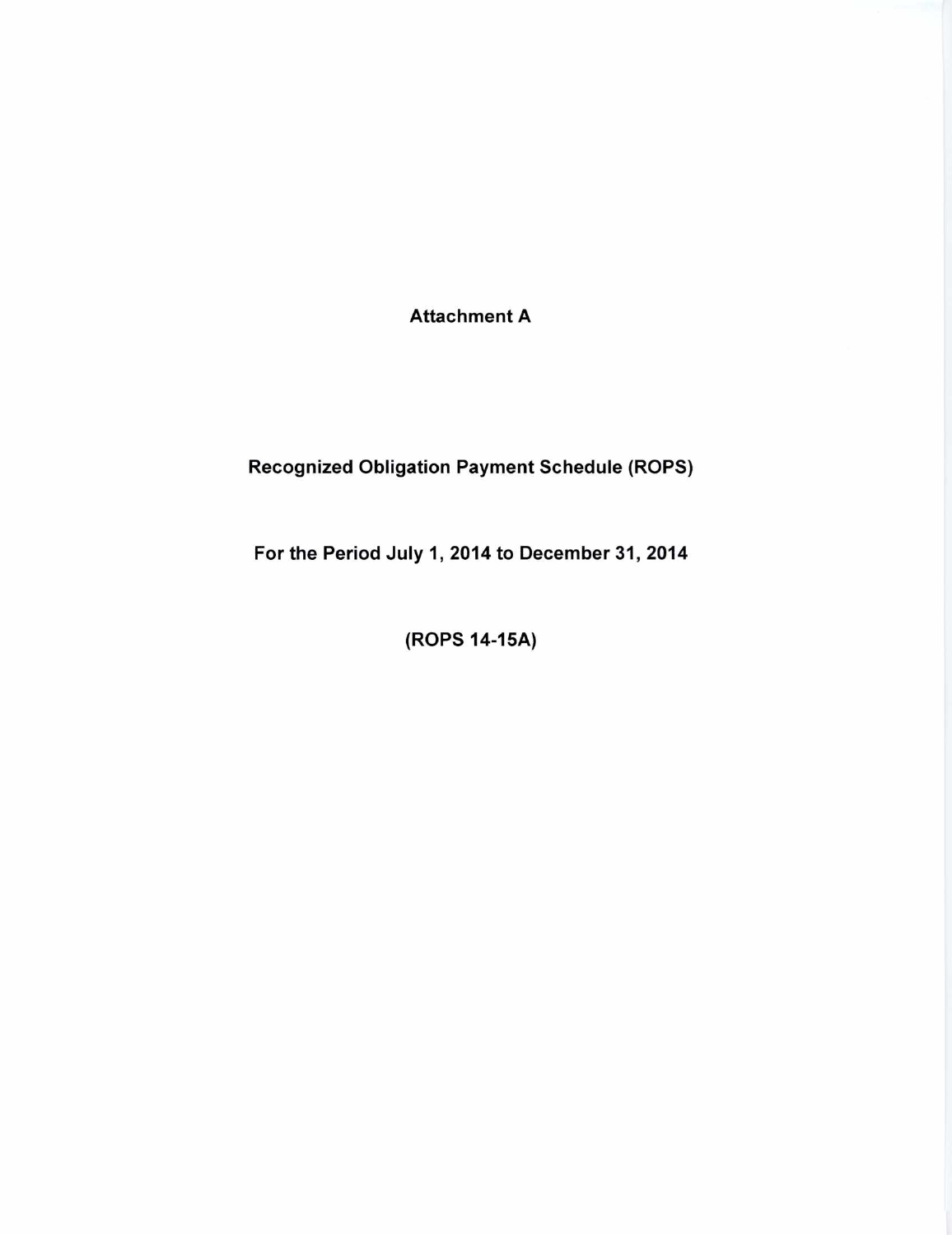**Attachment A** 

# **Recognized Obligation Payment Schedule (ROPS)**

**For the Period July 1, 2014 to December 31, 2014** 

**(ROPS 14-15A)**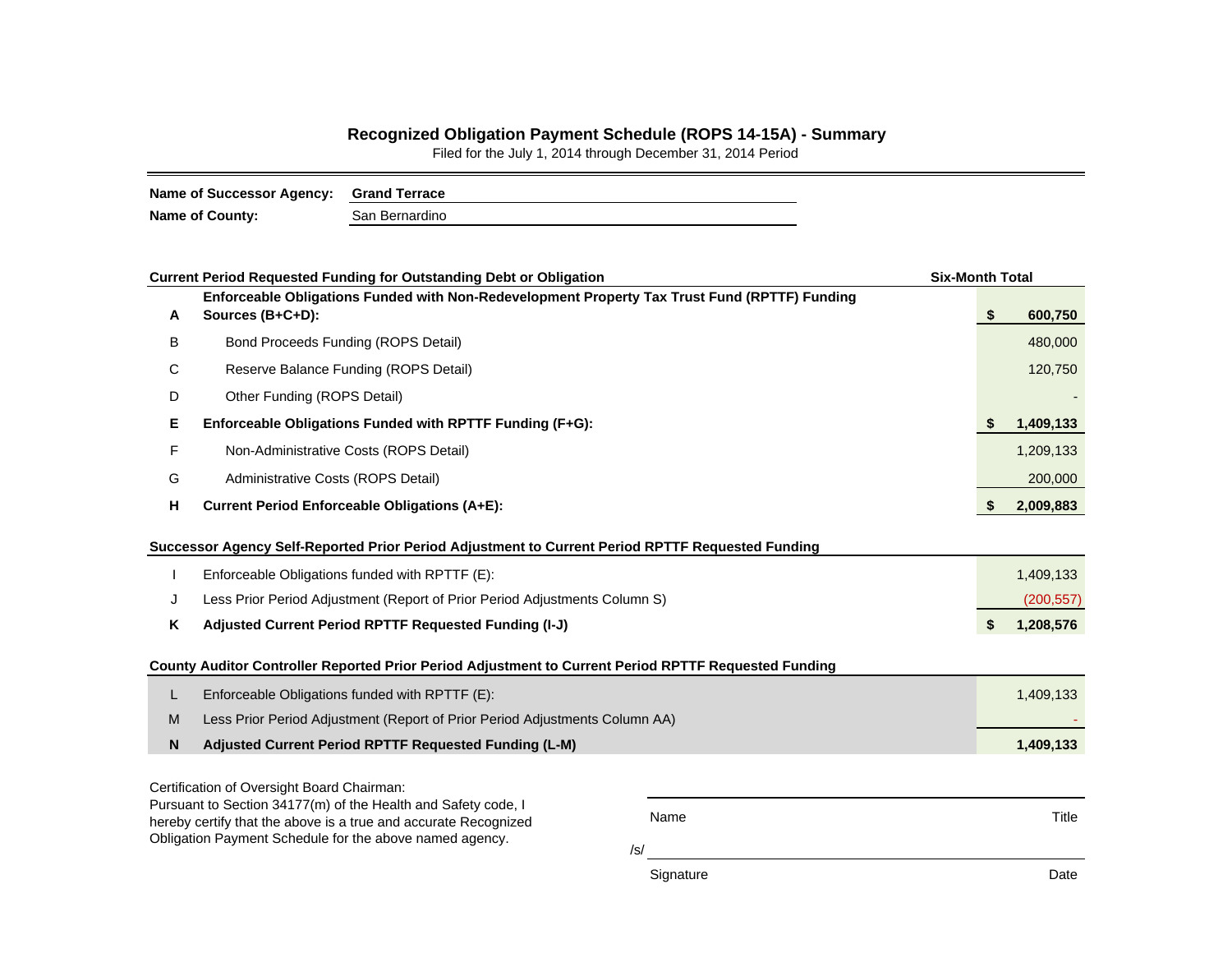### **Recognized Obligation Payment Schedule (ROPS 14-15A) - Summary**

Filed for the July 1, 2014 through December 31, 2014 Period

| Name of Successor Agency: Grand Terrace |                |
|-----------------------------------------|----------------|
| <b>Name of County:</b>                  | San Bernardino |

|                                                                                                                            | <b>Current Period Requested Funding for Outstanding Debt or Obligation</b>                                        |           | <b>Six-Month Total</b> |           |  |  |  |  |  |
|----------------------------------------------------------------------------------------------------------------------------|-------------------------------------------------------------------------------------------------------------------|-----------|------------------------|-----------|--|--|--|--|--|
| A                                                                                                                          | Enforceable Obligations Funded with Non-Redevelopment Property Tax Trust Fund (RPTTF) Funding<br>Sources (B+C+D): |           | \$                     | 600,750   |  |  |  |  |  |
| В                                                                                                                          | Bond Proceeds Funding (ROPS Detail)                                                                               |           |                        | 480,000   |  |  |  |  |  |
| С                                                                                                                          | Reserve Balance Funding (ROPS Detail)                                                                             |           |                        |           |  |  |  |  |  |
| D                                                                                                                          | Other Funding (ROPS Detail)                                                                                       |           |                        |           |  |  |  |  |  |
| Е                                                                                                                          | Enforceable Obligations Funded with RPTTF Funding (F+G):                                                          |           | S                      | 1,409,133 |  |  |  |  |  |
| F                                                                                                                          | Non-Administrative Costs (ROPS Detail)                                                                            |           |                        | 1,209,133 |  |  |  |  |  |
| G                                                                                                                          | Administrative Costs (ROPS Detail)                                                                                |           |                        |           |  |  |  |  |  |
| н                                                                                                                          | <b>Current Period Enforceable Obligations (A+E):</b>                                                              |           |                        | 2,009,883 |  |  |  |  |  |
|                                                                                                                            | Successor Agency Self-Reported Prior Period Adjustment to Current Period RPTTF Requested Funding                  |           |                        |           |  |  |  |  |  |
|                                                                                                                            | Enforceable Obligations funded with RPTTF (E):                                                                    |           |                        | 1,409,133 |  |  |  |  |  |
| J                                                                                                                          | Less Prior Period Adjustment (Report of Prior Period Adjustments Column S)                                        |           |                        |           |  |  |  |  |  |
| Κ                                                                                                                          | Adjusted Current Period RPTTF Requested Funding (I-J)                                                             |           | \$                     | 1,208,576 |  |  |  |  |  |
|                                                                                                                            | County Auditor Controller Reported Prior Period Adjustment to Current Period RPTTF Requested Funding              |           |                        |           |  |  |  |  |  |
| L                                                                                                                          | Enforceable Obligations funded with RPTTF (E):                                                                    |           |                        | 1,409,133 |  |  |  |  |  |
| M                                                                                                                          | Less Prior Period Adjustment (Report of Prior Period Adjustments Column AA)                                       |           |                        |           |  |  |  |  |  |
| N                                                                                                                          | Adjusted Current Period RPTTF Requested Funding (L-M)                                                             |           |                        | 1,409,133 |  |  |  |  |  |
|                                                                                                                            | Certification of Oversight Board Chairman:                                                                        |           |                        |           |  |  |  |  |  |
|                                                                                                                            | Pursuant to Section 34177(m) of the Health and Safety code, I                                                     | Name      |                        | Title     |  |  |  |  |  |
| hereby certify that the above is a true and accurate Recognized<br>Obligation Payment Schedule for the above named agency. |                                                                                                                   |           |                        |           |  |  |  |  |  |
|                                                                                                                            |                                                                                                                   | /s/       |                        |           |  |  |  |  |  |
|                                                                                                                            |                                                                                                                   | Signature |                        | Date      |  |  |  |  |  |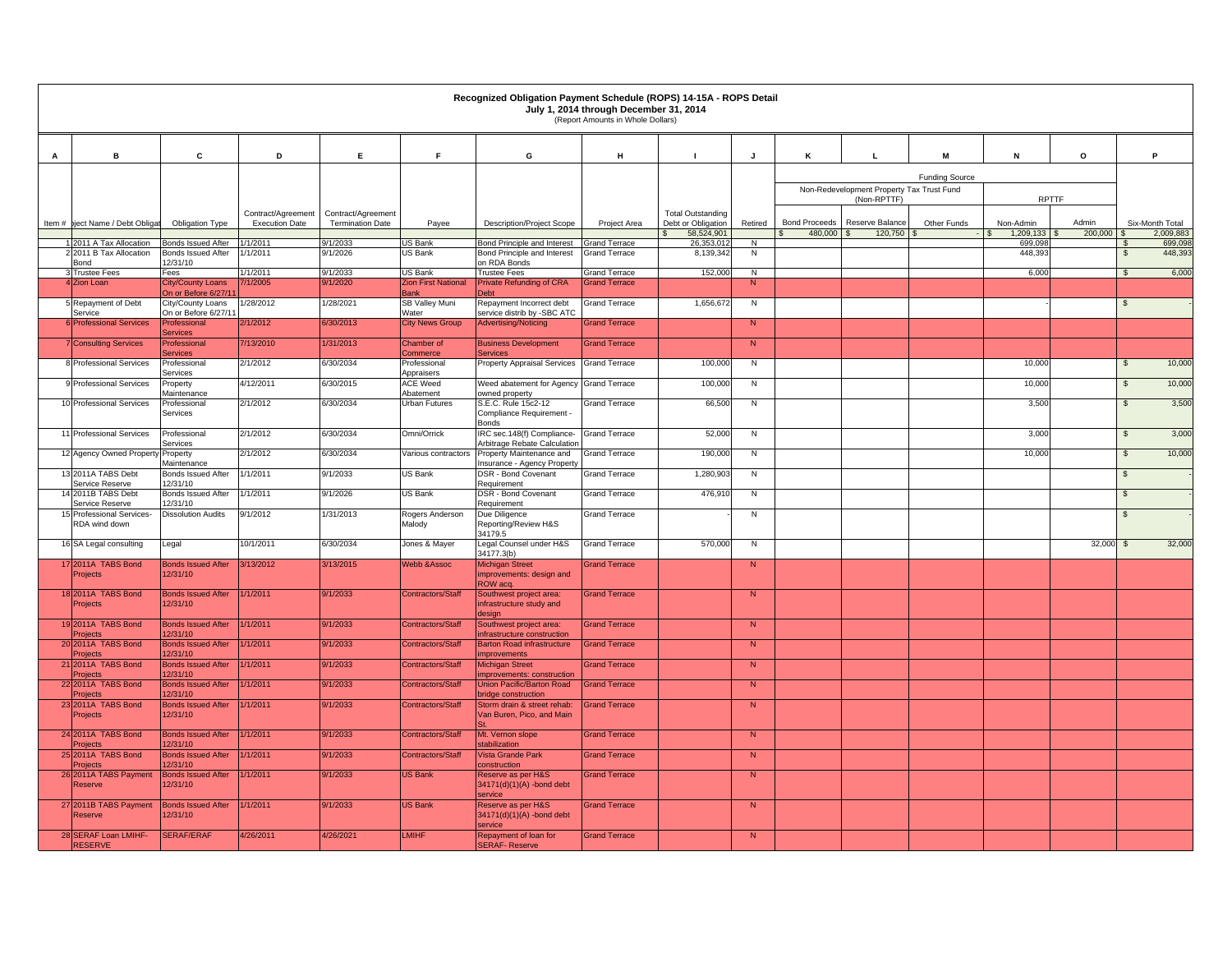|     | Recognized Obligation Payment Schedule (ROPS) 14-15A - ROPS Detail<br>July 1, 2014 through December 31, 2014<br>(Report Amounts in Whole Dollars) |                                                 |                       |                         |                                       |                                                                 |                                              |                                  |                |                                 |                                                          |                       |                        |              |                    |                    |  |
|-----|---------------------------------------------------------------------------------------------------------------------------------------------------|-------------------------------------------------|-----------------------|-------------------------|---------------------------------------|-----------------------------------------------------------------|----------------------------------------------|----------------------------------|----------------|---------------------------------|----------------------------------------------------------|-----------------------|------------------------|--------------|--------------------|--------------------|--|
|     |                                                                                                                                                   |                                                 |                       |                         |                                       |                                                                 |                                              |                                  |                |                                 |                                                          |                       |                        |              |                    |                    |  |
| Α   | в                                                                                                                                                 | C                                               | D                     | Ε.                      | F.                                    | G                                                               | н                                            | $\mathbf{I}$                     | J              | к                               | L.                                                       |                       | N                      | $\mathsf{o}$ | P.                 |                    |  |
|     |                                                                                                                                                   |                                                 |                       |                         |                                       |                                                                 |                                              |                                  |                |                                 |                                                          | <b>Funding Source</b> |                        |              |                    |                    |  |
|     |                                                                                                                                                   |                                                 |                       |                         |                                       |                                                                 |                                              |                                  |                |                                 | Non-Redevelopment Property Tax Trust Fund<br>(Non-RPTTF) |                       | <b>RPTTF</b>           |              |                    |                    |  |
|     |                                                                                                                                                   |                                                 | Contract/Agreement    | Contract/Agreement      |                                       |                                                                 |                                              | <b>Total Outstanding</b>         |                |                                 |                                                          |                       |                        | Admin        |                    |                    |  |
|     | Item # biect Name / Debt Obligat                                                                                                                  | Obligation Type                                 | <b>Execution Date</b> | <b>Termination Date</b> | Payee                                 | Description/Project Scope                                       | Project Area                                 | Debt or Obligation<br>58,524,901 | Retired        | <b>Bond Proceeds</b><br>480,000 | Reserve Balance<br>120,750<br>$\mathcal{L}$              | Other Funds           | Non-Admin<br>1,209,133 | 200,000 \$   | Six-Month Total    | 2,009,883          |  |
|     | 2011 A Tax Allocation<br>2 2011 B Tax Allocation                                                                                                  | <b>Bonds Issued After</b><br>Bonds Issued After | 1/1/2011<br>1/1/2011  | 9/1/2033<br>9/1/2026    | JS Bank<br>US Bank                    | Bond Principle and Interest<br>Bond Principle and Interest      | <b>Grand Terrace</b><br><b>Grand Terrace</b> | 26,353,012<br>8,139,342          | N<br>N         |                                 |                                                          |                       | 699,09<br>448,39       |              | $\mathbb{S}$       | 699,098<br>448,393 |  |
|     | Bond                                                                                                                                              | 12/31/10                                        |                       |                         |                                       | on RDA Bonds                                                    |                                              |                                  |                |                                 |                                                          |                       |                        |              |                    |                    |  |
|     | 3 Trustee Fees<br>4 Zion Loan                                                                                                                     | Fees<br>City/County Loans                       | 1/1/2011<br>/1/2005   | 9/1/2033<br>9/1/2020    | US Bank<br><b>Zion First National</b> | <b>Trustee Fees</b><br>Private Refunding of CRA                 | <b>Grand Terrace</b><br><b>Grand Terrace</b> | 152,000                          | N<br>N         |                                 |                                                          |                       | 6,000                  |              | $\mathbb{S}$       | 6,000              |  |
|     |                                                                                                                                                   | On or Before 6/27/11                            |                       |                         | <b>Bank</b>                           | <b>Debt</b>                                                     |                                              |                                  |                |                                 |                                                          |                       |                        |              |                    |                    |  |
|     | 5 Repayment of Debt<br>Service                                                                                                                    | City/County Loans<br>On or Before 6/27/11       | /28/2012              | 1/28/2021               | <b>SB Valley Muni</b><br>Vater        | Repayment Incorrect debt<br>service distrib by -SBC ATC         | <b>Grand Terrace</b>                         | 1,656,672                        | N              |                                 |                                                          |                       |                        |              | $\sqrt{3}$         |                    |  |
|     | <b>Professional Services</b>                                                                                                                      | rofessional                                     | 2/1/2012              | 6/30/2013               | <b>City News Group</b>                | <b>Advertising/Noticing</b>                                     | <b>Grand Terrace</b>                         |                                  | N              |                                 |                                                          |                       |                        |              |                    |                    |  |
|     | <b>Consulting Services</b>                                                                                                                        | ervices<br><b>Tofessional</b>                   | 7/13/2010             | 1/31/2013               | <b>Chamber of</b>                     | <b>Business Development</b>                                     | <b>Grand Terrace</b>                         |                                  | $\overline{N}$ |                                 |                                                          |                       |                        |              |                    |                    |  |
|     | 8 Professional Services                                                                                                                           | ervices<br>Professional                         | 2/1/2012              | 6/30/2034               | <b>commerce</b><br>Professional       | ervices<br>Property Appraisal Services                          | <b>Grand Terrace</b>                         | 100,000                          | ${\sf N}$      |                                 |                                                          |                       | 10,000                 |              | $\mathfrak s$      | 10,000             |  |
|     | 9 Professional Services                                                                                                                           | services<br>Property                            | 4/12/2011             | 6/30/2015               | Appraisers<br><b>ACE Weed</b>         | Weed abatement for Agency Grand Terrace                         |                                              | 100,000                          | N              |                                 |                                                          |                       | 10,000                 |              | $\sqrt{3}$         | 10,000             |  |
|     | 10 Professional Services                                                                                                                          | Maintenance<br>Professional                     | 2/1/2012              | 6/30/2034               | Abatement<br><b>Urban Futures</b>     | owned property<br>S.E.C. Rule 15c2-12                           | <b>Grand Terrace</b>                         | 66,500                           | N              |                                 |                                                          |                       | 3,500                  |              | $\mathbf{\hat{s}}$ | 3,500              |  |
|     |                                                                                                                                                   | Services                                        |                       |                         |                                       | Compliance Requirement -<br><b>Bonds</b>                        |                                              |                                  |                |                                 |                                                          |                       |                        |              |                    |                    |  |
|     | 11 Professional Services                                                                                                                          | Professional<br>Services                        | 2/1/2012              | 6/30/2034               | Omni/Orrick                           | IRC sec.148(f) Compliance-<br>Arbitrage Rebate Calculation      | <b>Grand Terrace</b>                         | 52,000                           | N              |                                 |                                                          |                       | 3,000                  |              | $\mathbf{s}$       | 3,000              |  |
|     | 12 Agency Owned Property Property                                                                                                                 | Maintenance                                     | 2/1/2012              | 6/30/2034               | /arious contractors                   | Property Maintenance and<br>Insurance - Agency Property         | <b>Grand Terrace</b>                         | 190,000                          | N              |                                 |                                                          |                       | 10,000                 |              | $\sqrt{3}$         | 10,000             |  |
|     | 13 2011A TABS Debt<br>Service Reserve                                                                                                             | <b>Bonds Issued After</b><br>12/31/10           | 1/1/2011              | 9/1/2033                | US Bank                               | DSR - Bond Covenant<br>Requirement                              | <b>Grand Terrace</b>                         | 1,280,903                        | N              |                                 |                                                          |                       |                        |              | $\mathbb{S}$       |                    |  |
|     | 14 2011B TABS Debt                                                                                                                                | <b>Bonds Issued After</b>                       | 1/1/2011              | 9/1/2026                | US Bank                               | DSR - Bond Covenant                                             | <b>Grand Terrace</b>                         | 476,910                          | N              |                                 |                                                          |                       |                        |              | $\mathbb{S}$       |                    |  |
|     | Service Reserve<br>15 Professional Services-<br>RDA wind down                                                                                     | 12/31/10<br><b>Dissolution Audits</b>           | 9/1/2012              | 1/31/2013               | Rogers Anderson<br>Malody             | Requirement<br>Due Diligence<br>Reporting/Review H&S<br>34179.5 | <b>Grand Terrace</b>                         |                                  | N              |                                 |                                                          |                       |                        |              | $\mathbb{S}$       |                    |  |
|     | 16 SA Legal consulting                                                                                                                            | Legal                                           | 10/1/2011             | 6/30/2034               | Jones & Mayer                         | Legal Counsel under H&S<br>34177.3(b)                           | <b>Grand Terrace</b>                         | 570,000                          | N              |                                 |                                                          |                       |                        | 32,000       | $\mathbb{S}$       | 32,000             |  |
|     | 17 2011A TABS Bond                                                                                                                                | <b>Bonds Issued After</b>                       | 3/13/2012             | 3/13/2015               | <b>Webb &amp;Assoc</b>                | <b>Michigan Street</b>                                          | <b>Grand Terrace</b>                         |                                  | N              |                                 |                                                          |                       |                        |              |                    |                    |  |
|     | Projects                                                                                                                                          | 12/31/10                                        |                       |                         |                                       | improvements: design and<br><b>ROW</b> acq.                     |                                              |                                  |                |                                 |                                                          |                       |                        |              |                    |                    |  |
|     | 18 2011A TABS Bond<br>Projects                                                                                                                    | <b>Bonds Issued After</b><br>2/31/10            | 1/1/2011              | 9/1/2033                | Contractors/Staff                     | Southwest project area:<br>nfrastructure study and              | <b>Grand Terrace</b>                         |                                  | $\overline{N}$ |                                 |                                                          |                       |                        |              |                    |                    |  |
|     |                                                                                                                                                   |                                                 |                       |                         |                                       | lesian                                                          |                                              |                                  |                |                                 |                                                          |                       |                        |              |                    |                    |  |
|     | 19 2011A TABS Bond                                                                                                                                | <b>Bonds Issued After</b><br>2/31/10            | /1/2011               | 9/1/2033                | Contractors/Staff                     | Southwest project area:<br><b>nfrastructure construction</b>    | <b>Srand Terrace</b>                         |                                  | N              |                                 |                                                          |                       |                        |              |                    |                    |  |
|     | 20 2011A TABS Bond<br>'roiects                                                                                                                    | <b>Bonds Issued After</b><br>2/31/10            | /1/2011               | 9/1/2033                | Contractors/Staff                     | <b>Barton Road infrastructure</b><br>nprovements                | <b>Grand Terrace</b>                         |                                  | N              |                                 |                                                          |                       |                        |              |                    |                    |  |
|     | 21 2011A TABS Bond                                                                                                                                | <b>Bonds Issued After</b><br>2/31/10            | 1/1/2011              | 9/1/2033                | <b>Contractors/Staff</b>              | <b>Michigan Street</b>                                          | <b>Grand Terrace</b>                         |                                  | N              |                                 |                                                          |                       |                        |              |                    |                    |  |
|     | miects<br>22 2011A TABS Bond                                                                                                                      | <b>Bonds Issued After</b>                       | 1/1/2011              | 9/1/2033                | Contractors/Staff                     | nprovements: construction<br><b>Union Pacific/Barton Road</b>   | <b>Grand Terrace</b>                         |                                  | $\overline{N}$ |                                 |                                                          |                       |                        |              |                    |                    |  |
| -23 | rojects<br>2011A TABS Bond                                                                                                                        | 2/31/10<br><b>Bonds Issued After</b>            | 1/1/2011              | 9/1/2033                | <b>Contractors/Staff</b>              | pridae construction<br>Storm drain & street rehab:              | <b>Grand Terrace</b>                         |                                  | N              |                                 |                                                          |                       |                        |              |                    |                    |  |
|     | <b>Projects</b>                                                                                                                                   | 12/31/10                                        |                       |                         |                                       | Van Buren, Pico, and Main                                       |                                              |                                  |                |                                 |                                                          |                       |                        |              |                    |                    |  |
|     | 24 2011A TABS Bond<br><b>Projects</b>                                                                                                             | <b>Bonds Issued After</b><br>2/31/10            | 1/1/2011              | 9/1/2033                | Contractors/Staff                     | Mt. Vernon slope<br><b>stabilization</b>                        | <b>Srand Terrace</b>                         |                                  | N              |                                 |                                                          |                       |                        |              |                    |                    |  |
|     | 25 2011A TABS Bond<br>Projects                                                                                                                    | <b>Bonds Issued After</b><br>2/31/10            | 1/1/2011              | 9/1/2033                | Contractors/Staff                     | Vista Grande Park<br>construction                               | <b>Grand Terrace</b>                         |                                  | N              |                                 |                                                          |                       |                        |              |                    |                    |  |
|     | 26 2011A TABS Payment<br><b>Reserve</b>                                                                                                           | <b>Bonds Issued After</b><br>12/31/10           | 1/1/2011              | 9/1/2033                | US Bank                               | Reserve as per H&S<br>34171(d)(1)(A) -bond debt<br>service      | <b>Grand Terrace</b>                         |                                  | N              |                                 |                                                          |                       |                        |              |                    |                    |  |
|     | 27 2011B TABS Payment<br><b>Reserve</b>                                                                                                           | <b>Bonds Issued After</b><br>2/31/10            | /1/2011               | 9/1/2033                | <b>US Bank</b>                        | Reserve as per H&S<br>34171(d)(1)(A) -bond debt<br>service      | <b>Srand Terrace</b>                         |                                  | N              |                                 |                                                          |                       |                        |              |                    |                    |  |
|     | 28 SERAF Loan LMIHF-<br><b>RESERVE</b>                                                                                                            | <b>SERAF/ERAF</b>                               | 4/26/2011             | 4/26/2021               | <b>LMIHF</b>                          | Repayment of loan for<br><b>ERAF-Reserve</b>                    | <b>Grand Terrace</b>                         |                                  | N              |                                 |                                                          |                       |                        |              |                    |                    |  |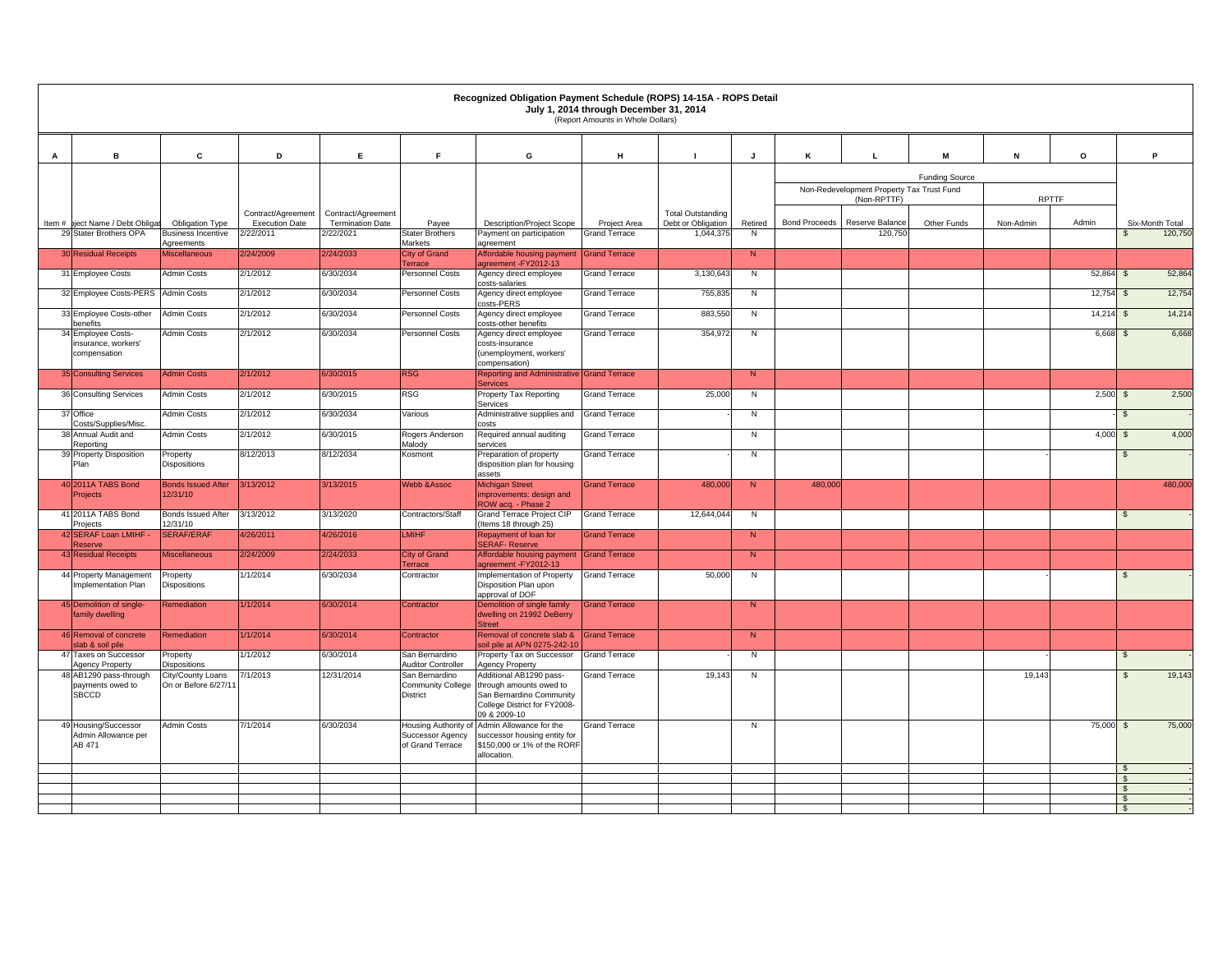|          |                                                           |                                           |                       |                         |                                                              | Recognized Obligation Payment Schedule (ROPS) 14-15A - ROPS Detail                                                             | July 1, 2014 through December 31, 2014<br>(Report Amounts in Whole Dollars) |                          |                |                      |                                           |                       |              |         |                          |
|----------|-----------------------------------------------------------|-------------------------------------------|-----------------------|-------------------------|--------------------------------------------------------------|--------------------------------------------------------------------------------------------------------------------------------|-----------------------------------------------------------------------------|--------------------------|----------------|----------------------|-------------------------------------------|-----------------------|--------------|---------|--------------------------|
|          | в                                                         |                                           |                       |                         | F.                                                           |                                                                                                                                |                                                                             |                          |                |                      | L                                         |                       |              |         | P                        |
| Α        |                                                           | c                                         | D                     | E                       |                                                              | G                                                                                                                              | н                                                                           | $\blacksquare$           | J              | κ                    |                                           | M                     | N            | $\circ$ |                          |
|          |                                                           |                                           |                       |                         |                                                              |                                                                                                                                |                                                                             |                          |                |                      | Non-Redevelopment Property Tax Trust Fund | <b>Funding Source</b> |              |         |                          |
|          |                                                           |                                           | Contract/Agreement    | Contract/Agreement      |                                                              |                                                                                                                                |                                                                             | <b>Total Outstanding</b> |                |                      | (Non-RPTTF)                               |                       | <b>RPTTF</b> |         |                          |
| Item $#$ | iect Name / Debt Obligat                                  | <b>Obligation Type</b>                    | <b>Execution Date</b> | <b>Termination Date</b> | Payee                                                        | <b>Description/Project Scope</b>                                                                                               | Project Area                                                                | Debt or Obligation       | Retired        | <b>Bond Proceeds</b> | Reserve Balance                           | Other Funds           | Non-Admin    | Admin   | Six-Month Total          |
|          | 29 Stater Brothers OPA                                    | <b>Business Incentive</b><br>Agreements   | 2/22/2011             | 2/22/2021               | <b>Stater Brothers</b><br>Markets                            | Payment on participation<br>agreement                                                                                          | <b>Grand Terrace</b>                                                        | 1,044,375                | N              |                      | 120,750                                   |                       |              |         | 120,750<br>$\mathbf{s}$  |
|          | <b>30 Residual Receipts</b>                               | <b>Miscellaneous</b>                      | 2/24/2009             | 2/24/2033               | <b>City of Grand</b><br>Terrace                              | Affordable housing payment<br>greement-FY2012-13                                                                               | <b>Grand Terrace</b>                                                        |                          | $\overline{N}$ |                      |                                           |                       |              |         |                          |
|          | 31 Employee Costs                                         | <b>Admin Costs</b>                        | 2/1/2012              | 6/30/2034               | Personnel Costs                                              | Agency direct employee<br>costs-salaries                                                                                       | <b>Grand Terrace</b>                                                        | 3,130,643                | ${\sf N}$      |                      |                                           |                       |              | 52,864  | 52,864<br>$$\mathbb{S}$$ |
|          | 32 Employee Costs-PERS Admin Costs                        |                                           | 2/1/2012              | 6/30/2034               | Personnel Costs                                              | Agency direct employee<br>costs-PERS                                                                                           | <b>Grand Terrace</b>                                                        | 755,835                  | N              |                      |                                           |                       |              | 12,754  | 12,754<br>$\mathbb{S}$   |
|          | 33 Employee Costs-other<br>benefits                       | <b>Admin Costs</b>                        | 2/1/2012              | 6/30/2034               | Personnel Costs                                              | Agency direct employee<br>costs-other benefits                                                                                 | <b>Grand Terrace</b>                                                        | 883,550                  | N              |                      |                                           |                       |              | 14,214  | 14,214<br>$\mathbb{S}$   |
|          | 34 Employee Costs-<br>insurance, workers'                 | <b>Admin Costs</b>                        | 2/1/2012              | 6/30/2034               | Personnel Costs                                              | Agency direct employee<br>costs-insurance                                                                                      | <b>Grand Terrace</b>                                                        | 354,972                  | N              |                      |                                           |                       |              | 6,668   | 6,668<br>\$              |
|          | compensation                                              |                                           |                       |                         |                                                              | (unemployment, workers'<br>compensation)                                                                                       |                                                                             |                          |                |                      |                                           |                       |              |         |                          |
|          | 35 Consulting Services                                    | <b>Admin Costs</b>                        | 2/1/2012              | 6/30/2015               | <b>RSG</b>                                                   | Reporting and Administrative Grand Terrace<br>Services                                                                         |                                                                             |                          | N              |                      |                                           |                       |              |         |                          |
|          | 36 Consulting Services                                    | <b>Admin Costs</b>                        | 2/1/2012              | 6/30/2015               | RSG                                                          | Property Tax Reporting<br>Services                                                                                             | <b>Grand Terrace</b>                                                        | 25,000                   | N              |                      |                                           |                       |              | 2,500   | 2,500<br>$\mathbf{s}$    |
|          | 37 Office<br>Costs/Supplies/Misc.                         | Admin Costs                               | 2/1/2012              | 6/30/2034               | Various                                                      | Administrative supplies and<br>costs                                                                                           | <b>Grand Terrace</b>                                                        |                          | N              |                      |                                           |                       |              |         | $\mathbb{S}$             |
|          | 38 Annual Audit and<br>Reporting                          | <b>Admin Costs</b>                        | 2/1/2012              | 6/30/2015               | Rogers Anderson<br>Malody                                    | Required annual auditing<br>services                                                                                           | <b>Grand Terrace</b>                                                        |                          | N              |                      |                                           |                       |              | 4,000   | 4,000<br>$\mathbb{S}$    |
|          | 39 Property Disposition<br>Plan                           | Property<br><b>Dispositions</b>           | 8/12/2013             | 8/12/2034               | Kosmont                                                      | Preparation of property<br>disposition plan for housing<br>assets                                                              | <b>Grand Terrace</b>                                                        |                          | N              |                      |                                           |                       |              |         | $\mathbb{S}$             |
|          | 40 2011A TABS Bond<br>Projects                            | <b>Bonds Issued After</b><br>12/31/10     | 3/13/2012             | 3/13/2015               | <b>Webb &amp; Assoc</b>                                      | <b>Michigan Street</b><br>improvements: design and<br>ROW acq. - Phase 2                                                       | <b>Srand Terrace</b>                                                        | 480,000                  | $\overline{N}$ | 480,000              |                                           |                       |              |         | 480,000                  |
|          | 41 2011A TABS Bond<br>Projects                            | <b>Bonds Issued After</b><br>12/31/10     | 3/13/2012             | 3/13/2020               | Contractors/Staff                                            | <b>Grand Terrace Project CIP</b><br>(Items 18 through 25)                                                                      | <b>Grand Terrace</b>                                                        | 12,644,044               | N              |                      |                                           |                       |              |         | $\mathbb{S}$             |
|          | 42 SERAF Loan LMIHF<br>eserve                             | <b>SERAF/ERAF</b>                         | /26/2011              | 4/26/2016               | <b>MIHF</b>                                                  | Repayment of loan for<br><b>SERAF-Reserve</b>                                                                                  | <b>Grand Terrace</b>                                                        |                          | $\overline{N}$ |                      |                                           |                       |              |         |                          |
|          | <b>43 Residual Receipts</b>                               | <b>Miscellaneous</b>                      | 2/24/2009             | 2/24/2033               | <b>City of Grand</b><br>Terrace                              | Affordable housing payment<br>greement - FY2012-13                                                                             | <b>Grand Terrace</b>                                                        |                          | N              |                      |                                           |                       |              |         |                          |
|          | 44 Property Management<br>Implementation Plan             | Property<br>Dispositions                  | 1/1/2014              | 6/30/2034               | Contractor                                                   | Implementation of Property<br>Disposition Plan upon                                                                            | <b>Grand Terrace</b>                                                        | 50,000                   | N              |                      |                                           |                       |              |         | $\mathbb{S}$             |
|          | 45 Demolition of single-                                  | Remediation                               | 1/1/2014              | 6/30/2014               | Contractor                                                   | approval of DOF<br>Demolition of single family                                                                                 | <b>Srand Terrace</b>                                                        |                          | N              |                      |                                           |                       |              |         |                          |
|          | family dwelling                                           |                                           |                       |                         |                                                              | dwelling on 21992 DeBerry<br><b>Street</b>                                                                                     |                                                                             |                          |                |                      |                                           |                       |              |         |                          |
|          | 46 Removal of concrete<br>lab & soil pile                 | Remediation                               | 1/1/2014              | 6/30/2014               | Contractor                                                   | Removal of concrete slab &<br>soil pile at APN 0275-242-10                                                                     | <b>Srand Terrace</b>                                                        |                          | $\overline{N}$ |                      |                                           |                       |              |         |                          |
|          | 47 Taxes on Successor<br>Agency Property                  | Property<br><b>Dispositions</b>           | 1/1/2012              | 6/30/2014               | San Bernardino<br><b>Auditor Controller</b>                  | Property Tax on Successor<br><b>Agency Property</b>                                                                            | <b>Grand Terrace</b>                                                        |                          | N              |                      |                                           |                       |              |         | $\mathfrak{s}$           |
|          | 48 AB1290 pass-through<br>ayments owed to<br><b>SBCCD</b> | City/County Loans<br>On or Before 6/27/11 | 7/1/2013              | 12/31/2014              | San Bernardino<br>Community College<br>District              | Additional AB1290 pass-<br>through amounts owed to<br>San Bernardino Community<br>College District for FY2008-<br>09 & 2009-10 | <b>Grand Terrace</b>                                                        | 19,143                   | N              |                      |                                           |                       | 19,143       |         | 19,143<br>$\mathbb{S}$   |
|          | 49 Housing/Successor<br>Admin Allowance per<br>AB 471     | <b>Admin Costs</b>                        | 7/1/2014              | 6/30/2034               | Housing Authority of<br>Successor Agency<br>of Grand Terrace | Admin Allowance for the<br>successor housing entity for<br>\$150,000 or 1% of the RORF<br>allocation.                          | <b>Grand Terrace</b>                                                        |                          | N              |                      |                                           |                       |              | 75,000  | $\sqrt{s}$<br>75,000     |
|          |                                                           |                                           |                       |                         |                                                              |                                                                                                                                |                                                                             |                          |                |                      |                                           |                       |              |         | $\mathbf{s}$             |
|          |                                                           |                                           |                       |                         |                                                              |                                                                                                                                |                                                                             |                          |                |                      |                                           |                       |              |         | $\mathbf{s}$             |
|          |                                                           |                                           |                       |                         |                                                              |                                                                                                                                |                                                                             |                          |                |                      |                                           |                       |              |         | $\mathbf{s}$<br>- \$     |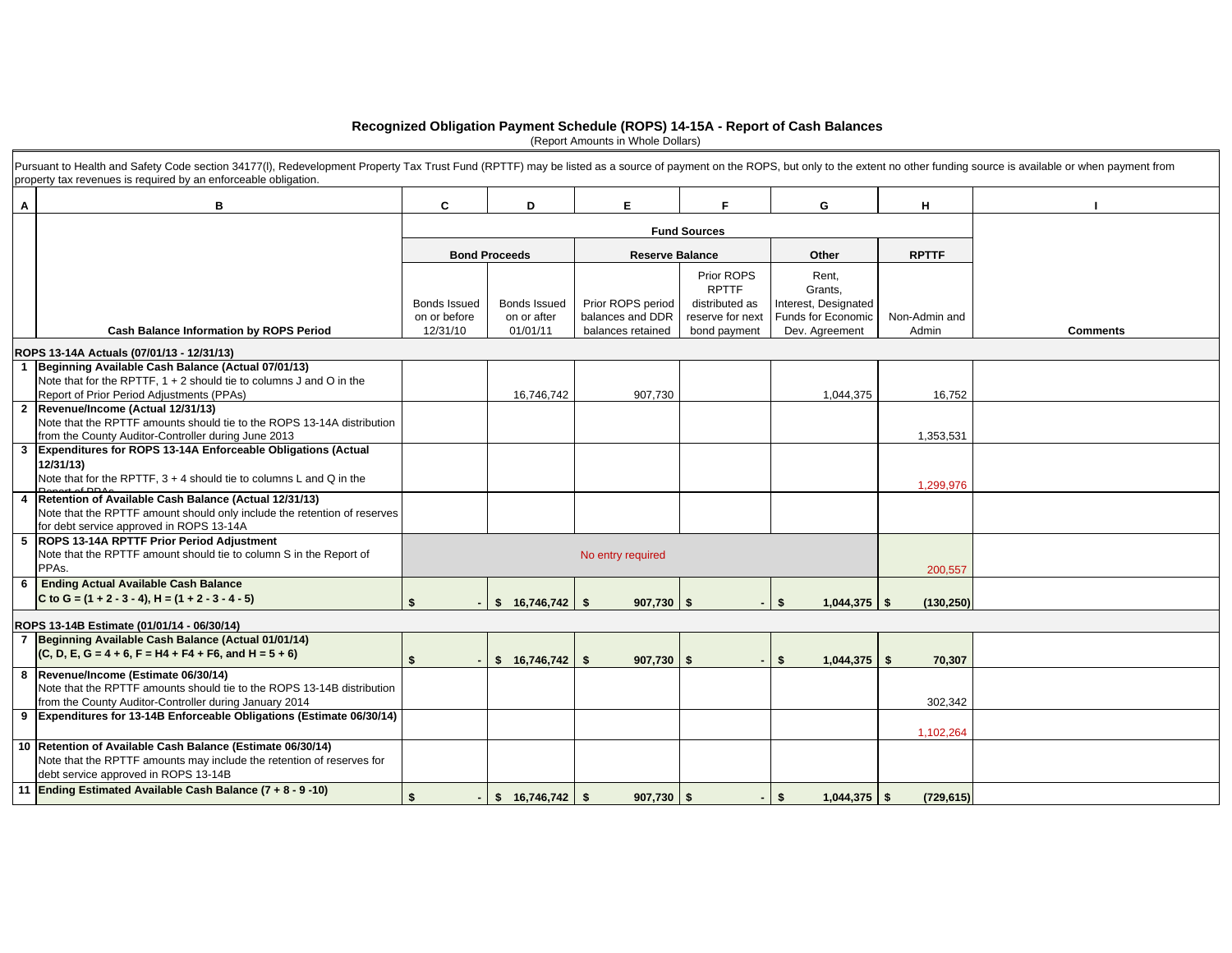#### **Recognized Obligation Payment Schedule (ROPS) 14-15A - Report of Cash Balances**

(Report Amounts in Whole Dollars)

|   | Pursuant to Health and Safety Code section 34177(I), Redevelopment Property Tax Trust Fund (RPTTF) may be listed as a source of payment on the ROPS, but only to the extent no other funding source is available or when payme<br>property tax revenues is required by an enforceable obligation. |                                                 |                                                |                                                            |                                                    |                                                              |                        |                 |
|---|---------------------------------------------------------------------------------------------------------------------------------------------------------------------------------------------------------------------------------------------------------------------------------------------------|-------------------------------------------------|------------------------------------------------|------------------------------------------------------------|----------------------------------------------------|--------------------------------------------------------------|------------------------|-----------------|
| A | в                                                                                                                                                                                                                                                                                                 | C                                               | D                                              | E.                                                         | F.                                                 | G                                                            | H                      |                 |
|   |                                                                                                                                                                                                                                                                                                   |                                                 |                                                | <b>Fund Sources</b>                                        |                                                    |                                                              |                        |                 |
|   |                                                                                                                                                                                                                                                                                                   |                                                 | <b>Bond Proceeds</b>                           | <b>Reserve Balance</b>                                     |                                                    | Other                                                        | <b>RPTTF</b>           |                 |
|   |                                                                                                                                                                                                                                                                                                   |                                                 |                                                |                                                            | Prior ROPS<br><b>RPTTF</b>                         | Rent.<br>Grants,                                             |                        |                 |
|   | <b>Cash Balance Information by ROPS Period</b>                                                                                                                                                                                                                                                    | <b>Bonds Issued</b><br>on or before<br>12/31/10 | <b>Bonds Issued</b><br>on or after<br>01/01/11 | Prior ROPS period<br>balances and DDR<br>balances retained | distributed as<br>reserve for next<br>bond payment | Interest, Designated<br>Funds for Economic<br>Dev. Agreement | Non-Admin and<br>Admin | <b>Comments</b> |
|   | ROPS 13-14A Actuals (07/01/13 - 12/31/13)                                                                                                                                                                                                                                                         |                                                 |                                                |                                                            |                                                    |                                                              |                        |                 |
|   | Beginning Available Cash Balance (Actual 07/01/13)                                                                                                                                                                                                                                                |                                                 |                                                |                                                            |                                                    |                                                              |                        |                 |
|   | Note that for the RPTTF, $1 + 2$ should tie to columns J and O in the<br>Report of Prior Period Adjustments (PPAs)                                                                                                                                                                                |                                                 | 16,746,742                                     | 907,730                                                    |                                                    | 1,044,375                                                    | 16,752                 |                 |
|   | 2 Revenue/Income (Actual 12/31/13)<br>Note that the RPTTF amounts should tie to the ROPS 13-14A distribution<br>from the County Auditor-Controller during June 2013                                                                                                                               |                                                 |                                                |                                                            |                                                    |                                                              | 1,353,531              |                 |
| 3 | Expenditures for ROPS 13-14A Enforceable Obligations (Actual<br>12/31/13)<br>Note that for the RPTTF, $3 + 4$ should tie to columns L and Q in the                                                                                                                                                |                                                 |                                                |                                                            |                                                    |                                                              | 1,299,976              |                 |
|   | Retention of Available Cash Balance (Actual 12/31/13)<br>Note that the RPTTF amount should only include the retention of reserves<br>for debt service approved in ROPS 13-14A                                                                                                                     |                                                 |                                                |                                                            |                                                    |                                                              |                        |                 |
|   | 5 ROPS 13-14A RPTTF Prior Period Adjustment<br>Note that the RPTTF amount should tie to column S in the Report of<br>PPAs.                                                                                                                                                                        |                                                 |                                                | No entry required                                          |                                                    |                                                              | 200,557                |                 |
| 6 | <b>Ending Actual Available Cash Balance</b><br>C to G = $(1 + 2 - 3 - 4)$ , H = $(1 + 2 - 3 - 4 - 5)$                                                                                                                                                                                             | -\$                                             | $$16.746.742$ \ \ \$                           | $907,730$ \$                                               |                                                    | \$<br>$1.044.375$ \ \ \$                                     | (130, 250)             |                 |
|   | ROPS 13-14B Estimate (01/01/14 - 06/30/14)                                                                                                                                                                                                                                                        |                                                 |                                                |                                                            |                                                    |                                                              |                        |                 |
|   | Beginning Available Cash Balance (Actual 01/01/14)<br>$(C, D, E, G = 4 + 6, F = H4 + F4 + F6, and H = 5 + 6)$                                                                                                                                                                                     | \$                                              | \$16,746,742                                   | $907,730$ \$<br>Ŝ.                                         |                                                    | $1,044,375$ \$<br>Ŝ.                                         | 70,307                 |                 |
|   | 8 Revenue/Income (Estimate 06/30/14)<br>Note that the RPTTF amounts should tie to the ROPS 13-14B distribution<br>from the County Auditor-Controller during January 2014                                                                                                                          |                                                 |                                                |                                                            |                                                    |                                                              | 302,342                |                 |
|   | 9 Expenditures for 13-14B Enforceable Obligations (Estimate 06/30/14)                                                                                                                                                                                                                             |                                                 |                                                |                                                            |                                                    |                                                              | 1,102,264              |                 |
|   | 10 Retention of Available Cash Balance (Estimate 06/30/14)<br>Note that the RPTTF amounts may include the retention of reserves for<br>debt service approved in ROPS 13-14B                                                                                                                       |                                                 |                                                |                                                            |                                                    |                                                              |                        |                 |
|   | 11 Ending Estimated Available Cash Balance (7 + 8 - 9 -10)                                                                                                                                                                                                                                        | \$                                              | \$ 16,746,742]                                 | \$<br>$907,730$ \$                                         |                                                    | $1,044,375$ \$<br>\$                                         | (729, 615)             |                 |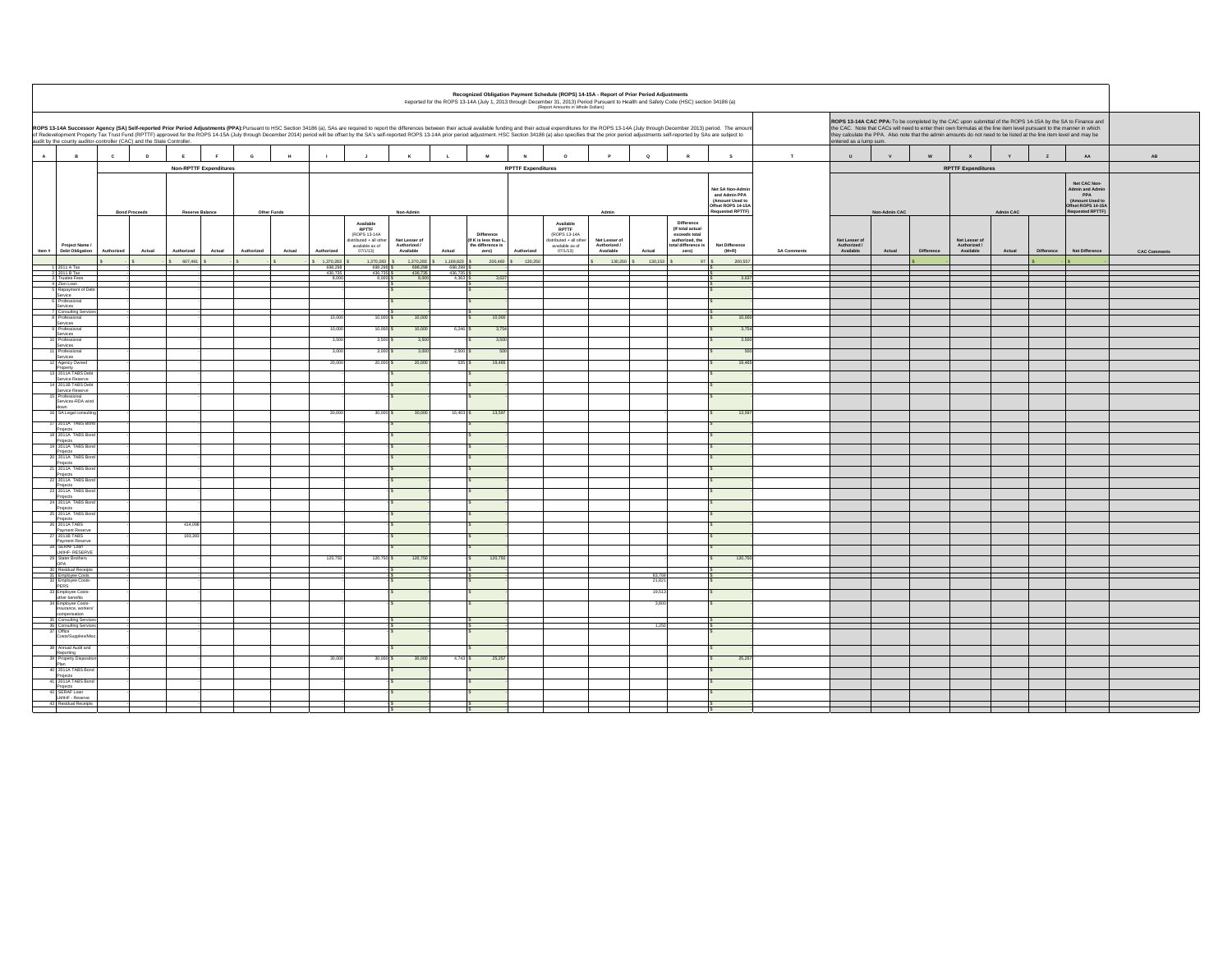|              |                                                                        |                      |                                                                                                                                                                                                                                                                                                                                                                                                                                                                                                                                                                                                                                                                                                                                                                                                                                                                                                                               |                 |                               |             |        |                             |                                                                                            |                                            |                             |                                                                  |                           | (Report Amounts in Whole Dollars)                                                                |                                            | Recognized Obligation Payment Schedule (ROPS) 14-15A - Report of Prior Period Adjustments<br>Reported for the ROPS 13-14A (July 1, 2013 through December 31, 2013) Period Pursuant to Health and Safety Code (HSC) section 34186 (a) |                                                                                              |                    |                                            |               |            |                                            |           |            |                                                                                                     |                     |
|--------------|------------------------------------------------------------------------|----------------------|-------------------------------------------------------------------------------------------------------------------------------------------------------------------------------------------------------------------------------------------------------------------------------------------------------------------------------------------------------------------------------------------------------------------------------------------------------------------------------------------------------------------------------------------------------------------------------------------------------------------------------------------------------------------------------------------------------------------------------------------------------------------------------------------------------------------------------------------------------------------------------------------------------------------------------|-----------------|-------------------------------|-------------|--------|-----------------------------|--------------------------------------------------------------------------------------------|--------------------------------------------|-----------------------------|------------------------------------------------------------------|---------------------------|--------------------------------------------------------------------------------------------------|--------------------------------------------|--------------------------------------------------------------------------------------------------------------------------------------------------------------------------------------------------------------------------------------|----------------------------------------------------------------------------------------------|--------------------|--------------------------------------------|---------------|------------|--------------------------------------------|-----------|------------|-----------------------------------------------------------------------------------------------------|---------------------|
|              |                                                                        |                      | ROPS 13-14A CAC PPA: To be completed by the CAC upon submittal of the ROPS 14-15A by the SA to Finance and<br>ROPS 13-14A Successor Agency (SA) Self-reported Prior Period Adjustments (PPA):Pursuant to HSC Section 34186 (a), SAs are required to report the differences between their actual available funding and their actual expenditu<br>he CAC. Note that CACs will need to enter their own formulas at the line item level pursuant to the manner in which<br>of Redevelopment Property Tax Trust Fund (RPTTF) approved for the ROPS 14-15A (July through December 2014) period will be offset by the SA's self-reported ROPS 13-14A prior eriod adjustment. HSC Section 34186 (a) also spec<br>ey calculate the PPA. Also note that the admin amounts do not need to be listed at the line item level and may be<br>audit by the county auditor-controller (CAC) and the State Controller.<br>ntered as a lump sum. |                 |                               |             |        |                             |                                                                                            |                                            |                             |                                                                  |                           |                                                                                                  |                                            |                                                                                                                                                                                                                                      |                                                                                              |                    |                                            |               |            |                                            |           |            |                                                                                                     |                     |
| $\mathbf{A}$ | $\,$ B                                                                 | $\mathbf{c}$         | $\mathbf{D}$                                                                                                                                                                                                                                                                                                                                                                                                                                                                                                                                                                                                                                                                                                                                                                                                                                                                                                                  |                 |                               | G           |        |                             |                                                                                            |                                            |                             |                                                                  |                           | $\Omega$                                                                                         |                                            | $\circ$                                                                                                                                                                                                                              | $\mathbf{s}$                                                                                 | $\mathbf T$        | $\mathbf{u}$                               | $\mathbf{v}$  |            |                                            |           | z          | $\mathbf{A}\mathbf{A}$                                                                              | $\mathsf{AB}$       |
|              |                                                                        |                      |                                                                                                                                                                                                                                                                                                                                                                                                                                                                                                                                                                                                                                                                                                                                                                                                                                                                                                                               |                 | <b>Non-RPTTF Expenditures</b> |             |        |                             |                                                                                            |                                            |                             |                                                                  | <b>RPTTF Expenditures</b> |                                                                                                  |                                            |                                                                                                                                                                                                                                      |                                                                                              |                    |                                            |               |            | <b>RPTTF Expenditures</b>                  |           |            |                                                                                                     |                     |
|              |                                                                        | <b>Bond Proceeds</b> |                                                                                                                                                                                                                                                                                                                                                                                                                                                                                                                                                                                                                                                                                                                                                                                                                                                                                                                               | Reserve Balance |                               | Other Funds |        |                             |                                                                                            | Non-Admin                                  |                             |                                                                  |                           |                                                                                                  | Admin                                      |                                                                                                                                                                                                                                      | Net SA Non-Admi<br>and Admin PPA<br>(Amount Used to<br>Offset ROPS 14-15/<br>Requested RPTTF |                    |                                            | Non-Admin CAC |            |                                            | Admin CAC |            | Net CAC Non-<br>Admin and Admin<br>PPA<br>(Amount Used to<br>Offset ROPS 14-15A<br>Requested RPTTF) |                     |
|              | Project Name<br>Item # Debt Obligation                                 | Authorized           | Actual                                                                                                                                                                                                                                                                                                                                                                                                                                                                                                                                                                                                                                                                                                                                                                                                                                                                                                                        | Authorized      | Actual                        | Authorized  | Actual | Authorized                  | Available<br>RPTTF<br>(ROPS 13-14A<br>istributed + all other<br>available as of<br>07/1/13 | Net Lesser of<br>Authorized /<br>Available | Actual                      | Difference<br>(If K is less than L<br>the difference is<br>zero) | Authorized                | Available<br><b>RPTTF</b><br>(ROPS 13-14A<br>istributed + all othe<br>available as of<br>07/1/13 | Net Lesser of<br>Authorized /<br>Available | <b>Difference</b><br>(If total actual<br>exceeds total<br>authorized, the<br>total difference i<br>Actual<br>zero)                                                                                                                   | Net Difference<br>$(M+R)$                                                                    | <b>SA Comments</b> | Net Lesser of<br>Authorized /<br>Available | Actual        | Difference | Net Lesser of<br>Authorized /<br>Available | Actual    | Difference | Net Difference                                                                                      | <b>CAC Comments</b> |
|              |                                                                        |                      |                                                                                                                                                                                                                                                                                                                                                                                                                                                                                                                                                                                                                                                                                                                                                                                                                                                                                                                               | 607,491         |                               |             |        | 1,370,283                   | 1,370,283                                                                                  | 1,370,283                                  | 1,169,823                   | 200,460                                                          | 130,250                   |                                                                                                  | 130,250                                    | 130,153                                                                                                                                                                                                                              | 200,55                                                                                       |                    |                                            |               |            |                                            |           |            |                                                                                                     |                     |
|              | 1 2011 A Tax<br>2 2011 B Tax<br>3 Trustee Fees                         |                      |                                                                                                                                                                                                                                                                                                                                                                                                                                                                                                                                                                                                                                                                                                                                                                                                                                                                                                                               |                 |                               |             |        | 698,298<br>436.735<br>8.000 | 698,298<br>436,735<br>8.000                                                                | 698,298<br>436,735<br>8.000                | 698,298<br>436,735<br>4.363 | 363                                                              |                           |                                                                                                  |                                            |                                                                                                                                                                                                                                      | 36                                                                                           |                    |                                            |               |            |                                            |           |            |                                                                                                     |                     |
|              | 4 Zion Loan<br>5 Repayment of                                          |                      |                                                                                                                                                                                                                                                                                                                                                                                                                                                                                                                                                                                                                                                                                                                                                                                                                                                                                                                               |                 |                               |             |        |                             |                                                                                            |                                            |                             |                                                                  |                           |                                                                                                  |                                            |                                                                                                                                                                                                                                      |                                                                                              |                    |                                            |               |            |                                            |           |            |                                                                                                     |                     |
|              | Service<br>Professional                                                |                      |                                                                                                                                                                                                                                                                                                                                                                                                                                                                                                                                                                                                                                                                                                                                                                                                                                                                                                                               |                 |                               |             |        |                             |                                                                                            |                                            |                             |                                                                  |                           |                                                                                                  |                                            |                                                                                                                                                                                                                                      |                                                                                              |                    |                                            |               |            |                                            |           |            |                                                                                                     |                     |
|              | Services                                                               |                      |                                                                                                                                                                                                                                                                                                                                                                                                                                                                                                                                                                                                                                                                                                                                                                                                                                                                                                                               |                 |                               |             |        |                             |                                                                                            |                                            |                             |                                                                  |                           |                                                                                                  |                                            |                                                                                                                                                                                                                                      |                                                                                              |                    |                                            |               |            |                                            |           |            |                                                                                                     |                     |
|              | 7 Consulting Servi<br>3 Professional                                   |                      |                                                                                                                                                                                                                                                                                                                                                                                                                                                                                                                                                                                                                                                                                                                                                                                                                                                                                                                               |                 |                               |             |        | 10,00                       | 10,000                                                                                     | 10,000                                     |                             | 10,000                                                           |                           |                                                                                                  |                                            |                                                                                                                                                                                                                                      | 10,0                                                                                         |                    |                                            |               |            |                                            |           |            |                                                                                                     |                     |
|              | Services<br>Professional                                               |                      |                                                                                                                                                                                                                                                                                                                                                                                                                                                                                                                                                                                                                                                                                                                                                                                                                                                                                                                               |                 |                               |             |        | 10,00                       | 10,000                                                                                     | 10,000                                     | 6,246                       | 3,75                                                             |                           |                                                                                                  |                                            |                                                                                                                                                                                                                                      | 3.7                                                                                          |                    |                                            |               |            |                                            |           |            |                                                                                                     |                     |
|              | Services<br>Professional                                               |                      |                                                                                                                                                                                                                                                                                                                                                                                                                                                                                                                                                                                                                                                                                                                                                                                                                                                                                                                               |                 |                               |             |        | 3,5                         | 3,500                                                                                      | 3,500                                      |                             | 3,5                                                              |                           |                                                                                                  |                                            |                                                                                                                                                                                                                                      |                                                                                              |                    |                                            |               |            |                                            |           |            |                                                                                                     |                     |
|              | Services<br>Professional                                               |                      |                                                                                                                                                                                                                                                                                                                                                                                                                                                                                                                                                                                                                                                                                                                                                                                                                                                                                                                               |                 |                               |             |        | 3,00                        | 3,000                                                                                      | 3,000                                      | 2,500                       |                                                                  |                           |                                                                                                  |                                            |                                                                                                                                                                                                                                      |                                                                                              |                    |                                            |               |            |                                            |           |            |                                                                                                     |                     |
|              | Services                                                               |                      |                                                                                                                                                                                                                                                                                                                                                                                                                                                                                                                                                                                                                                                                                                                                                                                                                                                                                                                               |                 |                               |             |        | 20.00                       | 20,000                                                                                     | 20,000                                     | 535                         | 19,465                                                           |                           |                                                                                                  |                                            |                                                                                                                                                                                                                                      | 19.4                                                                                         |                    |                                            |               |            |                                            |           |            |                                                                                                     |                     |
|              | 12 Agency Owned<br>Property<br>13 2011A TABS Deb<br>Service Reserve    |                      |                                                                                                                                                                                                                                                                                                                                                                                                                                                                                                                                                                                                                                                                                                                                                                                                                                                                                                                               |                 |                               |             |        |                             |                                                                                            |                                            |                             |                                                                  |                           |                                                                                                  |                                            |                                                                                                                                                                                                                                      |                                                                                              |                    |                                            |               |            |                                            |           |            |                                                                                                     |                     |
|              | 2011B TABS Deb                                                         |                      |                                                                                                                                                                                                                                                                                                                                                                                                                                                                                                                                                                                                                                                                                                                                                                                                                                                                                                                               |                 |                               |             |        |                             |                                                                                            |                                            |                             |                                                                  |                           |                                                                                                  |                                            |                                                                                                                                                                                                                                      |                                                                                              |                    |                                            |               |            |                                            |           |            |                                                                                                     |                     |
|              | Service Reserve<br>rofessional                                         |                      |                                                                                                                                                                                                                                                                                                                                                                                                                                                                                                                                                                                                                                                                                                                                                                                                                                                                                                                               |                 |                               |             |        |                             |                                                                                            |                                            |                             |                                                                  |                           |                                                                                                  |                                            |                                                                                                                                                                                                                                      |                                                                                              |                    |                                            |               |            |                                            |           |            |                                                                                                     |                     |
|              | Services-RDA wind                                                      |                      |                                                                                                                                                                                                                                                                                                                                                                                                                                                                                                                                                                                                                                                                                                                                                                                                                                                                                                                               |                 |                               |             |        | 30.00                       | 30,000 \$                                                                                  | 30,000                                     | 16,403                      | 13,597                                                           |                           |                                                                                                  |                                            |                                                                                                                                                                                                                                      | 13.5                                                                                         |                    |                                            |               |            |                                            |           |            |                                                                                                     |                     |
|              | SA Legal consult<br>2011A TABS Bo                                      |                      |                                                                                                                                                                                                                                                                                                                                                                                                                                                                                                                                                                                                                                                                                                                                                                                                                                                                                                                               |                 |                               |             |        |                             |                                                                                            |                                            |                             |                                                                  |                           |                                                                                                  |                                            |                                                                                                                                                                                                                                      |                                                                                              |                    |                                            |               |            |                                            |           |            |                                                                                                     |                     |
|              | Projects<br>3 2011A TABS Bon                                           |                      |                                                                                                                                                                                                                                                                                                                                                                                                                                                                                                                                                                                                                                                                                                                                                                                                                                                                                                                               |                 |                               |             |        |                             |                                                                                            |                                            |                             |                                                                  |                           |                                                                                                  |                                            |                                                                                                                                                                                                                                      |                                                                                              |                    |                                            |               |            |                                            |           |            |                                                                                                     |                     |
|              | Projects<br>19 2011A TABS Bon                                          |                      |                                                                                                                                                                                                                                                                                                                                                                                                                                                                                                                                                                                                                                                                                                                                                                                                                                                                                                                               |                 |                               |             |        |                             |                                                                                            |                                            |                             |                                                                  |                           |                                                                                                  |                                            |                                                                                                                                                                                                                                      |                                                                                              |                    |                                            |               |            |                                            |           |            |                                                                                                     |                     |
|              | Projects<br>20 2011A TABS Bo                                           |                      |                                                                                                                                                                                                                                                                                                                                                                                                                                                                                                                                                                                                                                                                                                                                                                                                                                                                                                                               |                 |                               |             |        |                             |                                                                                            |                                            |                             |                                                                  |                           |                                                                                                  |                                            |                                                                                                                                                                                                                                      |                                                                                              |                    |                                            |               |            |                                            |           |            |                                                                                                     |                     |
|              | Projects<br>1 2011A TABS Bo                                            |                      |                                                                                                                                                                                                                                                                                                                                                                                                                                                                                                                                                                                                                                                                                                                                                                                                                                                                                                                               |                 |                               |             |        |                             |                                                                                            |                                            |                             |                                                                  |                           |                                                                                                  |                                            |                                                                                                                                                                                                                                      |                                                                                              |                    |                                            |               |            |                                            |           |            |                                                                                                     |                     |
|              | Projects<br>22 2011A TABS Bo                                           |                      |                                                                                                                                                                                                                                                                                                                                                                                                                                                                                                                                                                                                                                                                                                                                                                                                                                                                                                                               |                 |                               |             |        |                             |                                                                                            |                                            |                             |                                                                  |                           |                                                                                                  |                                            |                                                                                                                                                                                                                                      |                                                                                              |                    |                                            |               |            |                                            |           |            |                                                                                                     |                     |
|              | Projects<br>23 2011A TABS Bor                                          |                      |                                                                                                                                                                                                                                                                                                                                                                                                                                                                                                                                                                                                                                                                                                                                                                                                                                                                                                                               |                 |                               |             |        |                             |                                                                                            |                                            |                             |                                                                  |                           |                                                                                                  |                                            |                                                                                                                                                                                                                                      |                                                                                              |                    |                                            |               |            |                                            |           |            |                                                                                                     |                     |
|              | Projects<br>24 2011A TABS Bo                                           |                      |                                                                                                                                                                                                                                                                                                                                                                                                                                                                                                                                                                                                                                                                                                                                                                                                                                                                                                                               |                 |                               |             |        |                             |                                                                                            |                                            |                             |                                                                  |                           |                                                                                                  |                                            |                                                                                                                                                                                                                                      |                                                                                              |                    |                                            |               |            |                                            |           |            |                                                                                                     |                     |
|              | Projects<br>25 2011A TABS Bo                                           |                      |                                                                                                                                                                                                                                                                                                                                                                                                                                                                                                                                                                                                                                                                                                                                                                                                                                                                                                                               |                 |                               |             |        |                             |                                                                                            |                                            |                             |                                                                  |                           |                                                                                                  |                                            |                                                                                                                                                                                                                                      |                                                                                              |                    |                                            |               |            |                                            |           |            |                                                                                                     |                     |
|              | Projects<br>26 2011A TABS<br>Payment Reserve<br>27 2011B TABS          |                      |                                                                                                                                                                                                                                                                                                                                                                                                                                                                                                                                                                                                                                                                                                                                                                                                                                                                                                                               | 414,098         |                               |             |        |                             |                                                                                            |                                            |                             |                                                                  |                           |                                                                                                  |                                            |                                                                                                                                                                                                                                      |                                                                                              |                    |                                            |               |            |                                            |           |            |                                                                                                     |                     |
|              |                                                                        |                      |                                                                                                                                                                                                                                                                                                                                                                                                                                                                                                                                                                                                                                                                                                                                                                                                                                                                                                                               | 193,393         |                               |             |        |                             |                                                                                            |                                            |                             |                                                                  |                           |                                                                                                  |                                            |                                                                                                                                                                                                                                      |                                                                                              |                    |                                            |               |            |                                            |           |            |                                                                                                     |                     |
|              | Payment Reserve<br>8 SERAF Loan<br>LMIHF- RESERVE                      |                      |                                                                                                                                                                                                                                                                                                                                                                                                                                                                                                                                                                                                                                                                                                                                                                                                                                                                                                                               |                 |                               |             |        |                             |                                                                                            |                                            |                             |                                                                  |                           |                                                                                                  |                                            |                                                                                                                                                                                                                                      |                                                                                              |                    |                                            |               |            |                                            |           |            |                                                                                                     |                     |
|              |                                                                        |                      |                                                                                                                                                                                                                                                                                                                                                                                                                                                                                                                                                                                                                                                                                                                                                                                                                                                                                                                               |                 |                               |             |        | 120,75                      | 120,750                                                                                    | 120,750                                    |                             | 120.75                                                           |                           |                                                                                                  |                                            |                                                                                                                                                                                                                                      | 120,7                                                                                        |                    |                                            |               |            |                                            |           |            |                                                                                                     |                     |
|              | 29 Stater Brothers<br>OPA                                              |                      |                                                                                                                                                                                                                                                                                                                                                                                                                                                                                                                                                                                                                                                                                                                                                                                                                                                                                                                               |                 |                               |             |        |                             |                                                                                            |                                            |                             |                                                                  |                           |                                                                                                  |                                            |                                                                                                                                                                                                                                      |                                                                                              |                    |                                            |               |            |                                            |           |            |                                                                                                     |                     |
|              | 30 Residual Receipts<br>31 Employee Costs<br>32 Employee Costs<br>PERS |                      |                                                                                                                                                                                                                                                                                                                                                                                                                                                                                                                                                                                                                                                                                                                                                                                                                                                                                                                               |                 |                               |             |        |                             |                                                                                            |                                            |                             |                                                                  |                           |                                                                                                  |                                            | 83,769<br>21,821                                                                                                                                                                                                                     |                                                                                              |                    |                                            |               |            |                                            |           |            |                                                                                                     |                     |
|              |                                                                        |                      |                                                                                                                                                                                                                                                                                                                                                                                                                                                                                                                                                                                                                                                                                                                                                                                                                                                                                                                               |                 |                               |             |        |                             |                                                                                            |                                            |                             |                                                                  |                           |                                                                                                  |                                            | 19,513                                                                                                                                                                                                                               |                                                                                              |                    |                                            |               |            |                                            |           |            |                                                                                                     |                     |
|              | 33 Employee Costs-<br>other benefits<br>34 Employee Costs-             |                      |                                                                                                                                                                                                                                                                                                                                                                                                                                                                                                                                                                                                                                                                                                                                                                                                                                                                                                                               |                 |                               |             |        |                             |                                                                                            |                                            |                             |                                                                  |                           |                                                                                                  |                                            | 3,800                                                                                                                                                                                                                                |                                                                                              |                    |                                            |               |            |                                            |           |            |                                                                                                     |                     |
|              | insurance, workers'<br>compensation                                    |                      |                                                                                                                                                                                                                                                                                                                                                                                                                                                                                                                                                                                                                                                                                                                                                                                                                                                                                                                               |                 |                               |             |        |                             |                                                                                            |                                            |                             |                                                                  |                           |                                                                                                  |                                            |                                                                                                                                                                                                                                      |                                                                                              |                    |                                            |               |            |                                            |           |            |                                                                                                     |                     |
|              | 35 Consulting Servic                                                   |                      |                                                                                                                                                                                                                                                                                                                                                                                                                                                                                                                                                                                                                                                                                                                                                                                                                                                                                                                               |                 |                               |             |        |                             |                                                                                            |                                            |                             |                                                                  |                           |                                                                                                  |                                            | 1.250                                                                                                                                                                                                                                |                                                                                              |                    |                                            |               |            |                                            |           |            |                                                                                                     |                     |
|              | 36 Consulting Service<br>Costs/Supplies/M                              |                      |                                                                                                                                                                                                                                                                                                                                                                                                                                                                                                                                                                                                                                                                                                                                                                                                                                                                                                                               |                 |                               |             |        |                             |                                                                                            |                                            |                             |                                                                  |                           |                                                                                                  |                                            |                                                                                                                                                                                                                                      |                                                                                              |                    |                                            |               |            |                                            |           |            |                                                                                                     |                     |
|              | 38 Annual Audit and                                                    |                      |                                                                                                                                                                                                                                                                                                                                                                                                                                                                                                                                                                                                                                                                                                                                                                                                                                                                                                                               |                 |                               |             |        |                             |                                                                                            |                                            |                             |                                                                  |                           |                                                                                                  |                                            |                                                                                                                                                                                                                                      |                                                                                              |                    |                                            |               |            |                                            |           |            |                                                                                                     |                     |
|              | Reporting<br>39 Property Disposit                                      |                      |                                                                                                                                                                                                                                                                                                                                                                                                                                                                                                                                                                                                                                                                                                                                                                                                                                                                                                                               |                 |                               |             |        | 30,000                      | 30,000 \$                                                                                  | 30,000                                     | $4,743$ \$                  | 25,257                                                           |                           |                                                                                                  |                                            |                                                                                                                                                                                                                                      | 25,25                                                                                        |                    |                                            |               |            |                                            |           |            |                                                                                                     |                     |
|              | Plan<br>40 2011A TABS Bon                                              |                      |                                                                                                                                                                                                                                                                                                                                                                                                                                                                                                                                                                                                                                                                                                                                                                                                                                                                                                                               |                 |                               |             |        |                             |                                                                                            |                                            |                             |                                                                  |                           |                                                                                                  |                                            |                                                                                                                                                                                                                                      |                                                                                              |                    |                                            |               |            |                                            |           |            |                                                                                                     |                     |
|              | Projects<br>2011A TABS Bon                                             |                      |                                                                                                                                                                                                                                                                                                                                                                                                                                                                                                                                                                                                                                                                                                                                                                                                                                                                                                                               |                 |                               |             |        |                             |                                                                                            |                                            |                             |                                                                  |                           |                                                                                                  |                                            |                                                                                                                                                                                                                                      |                                                                                              |                    |                                            |               |            |                                            |           |            |                                                                                                     |                     |
|              | Projects<br>8 SERAF Loan                                               |                      |                                                                                                                                                                                                                                                                                                                                                                                                                                                                                                                                                                                                                                                                                                                                                                                                                                                                                                                               |                 |                               |             |        |                             |                                                                                            |                                            |                             |                                                                  |                           |                                                                                                  |                                            |                                                                                                                                                                                                                                      |                                                                                              |                    |                                            |               |            |                                            |           |            |                                                                                                     |                     |
|              | LMIHF - Reserve<br>43 Residual Receipts                                |                      |                                                                                                                                                                                                                                                                                                                                                                                                                                                                                                                                                                                                                                                                                                                                                                                                                                                                                                                               |                 |                               |             |        |                             |                                                                                            |                                            |                             |                                                                  |                           |                                                                                                  |                                            |                                                                                                                                                                                                                                      |                                                                                              |                    |                                            |               |            |                                            |           |            |                                                                                                     |                     |
|              |                                                                        |                      |                                                                                                                                                                                                                                                                                                                                                                                                                                                                                                                                                                                                                                                                                                                                                                                                                                                                                                                               |                 |                               |             |        |                             |                                                                                            |                                            |                             |                                                                  |                           |                                                                                                  |                                            |                                                                                                                                                                                                                                      |                                                                                              |                    |                                            |               |            |                                            |           |            |                                                                                                     |                     |